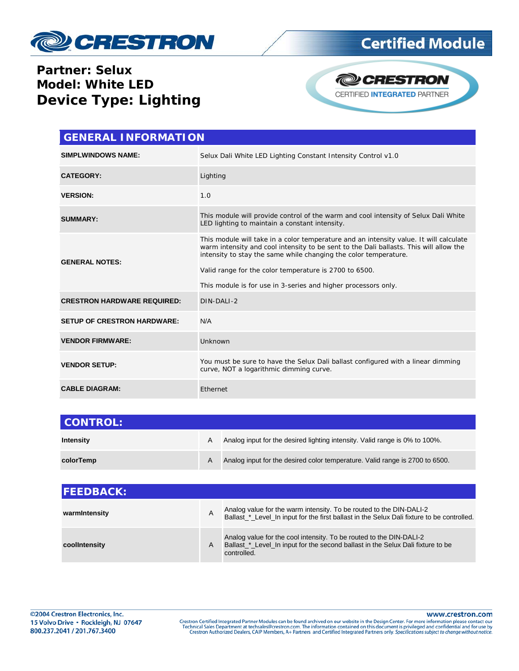

## **Certified Module**

## **Partner: Selux Model: White LED Device Type: Lighting**



| <b>GENERAL INFORMATION</b>         |                                                                                                                                                                                                                                                                                                                                                                                  |  |  |
|------------------------------------|----------------------------------------------------------------------------------------------------------------------------------------------------------------------------------------------------------------------------------------------------------------------------------------------------------------------------------------------------------------------------------|--|--|
| <b>SIMPLWINDOWS NAME:</b>          | Selux Dali White LED Lighting Constant Intensity Control v1.0                                                                                                                                                                                                                                                                                                                    |  |  |
| <b>CATEGORY:</b>                   | Lighting                                                                                                                                                                                                                                                                                                                                                                         |  |  |
| <b>VERSION:</b>                    | 1.0                                                                                                                                                                                                                                                                                                                                                                              |  |  |
| <b>SUMMARY:</b>                    | This module will provide control of the warm and cool intensity of Selux Dali White<br>LED lighting to maintain a constant intensity.                                                                                                                                                                                                                                            |  |  |
| <b>GENERAL NOTES:</b>              | This module will take in a color temperature and an intensity value. It will calculate<br>warm intensity and cool intensity to be sent to the Dali ballasts. This will allow the<br>intensity to stay the same while changing the color temperature.<br>Valid range for the color temperature is 2700 to 6500.<br>This module is for use in 3-series and higher processors only. |  |  |
| <b>CRESTRON HARDWARE REQUIRED:</b> | DIN-DALI-2                                                                                                                                                                                                                                                                                                                                                                       |  |  |
| <b>SETUP OF CRESTRON HARDWARE:</b> | N/A                                                                                                                                                                                                                                                                                                                                                                              |  |  |
| <b>VENDOR FIRMWARE:</b>            | Unknown                                                                                                                                                                                                                                                                                                                                                                          |  |  |
| <b>VENDOR SETUP:</b>               | You must be sure to have the Selux Dali ballast configured with a linear dimming<br>curve, NOT a logarithmic dimming curve.                                                                                                                                                                                                                                                      |  |  |
| <b>CABLE DIAGRAM:</b>              | Ethernet                                                                                                                                                                                                                                                                                                                                                                         |  |  |

| <b>CONTROL:</b> |   |                                                                              |
|-----------------|---|------------------------------------------------------------------------------|
| Intensity       | А | Analog input for the desired lighting intensity. Valid range is 0% to 100%.  |
| colorTemp       | A | Analog input for the desired color temperature. Valid range is 2700 to 6500. |

| <b>IFEEDBACK:</b> |   |                                                                                                                                                                       |
|-------------------|---|-----------------------------------------------------------------------------------------------------------------------------------------------------------------------|
| warmIntensity     | Α | Analog value for the warm intensity. To be routed to the DIN-DALI-2<br>Ballast_*_Level_In input for the first ballast in the Selux Dali fixture to be controlled.     |
| coolintensity     | A | Analog value for the cool intensity. To be routed to the DIN-DALI-2<br>Ballast_*_Level_In input for the second ballast in the Selux Dali fixture to be<br>controlled. |

www.crestron.com

Crestron Certified Integrated Partner Modules can be found archived on our website in the Design Center. For more information please contact our<br>Technical Sales Department at techsales@crestron.com. The information contain